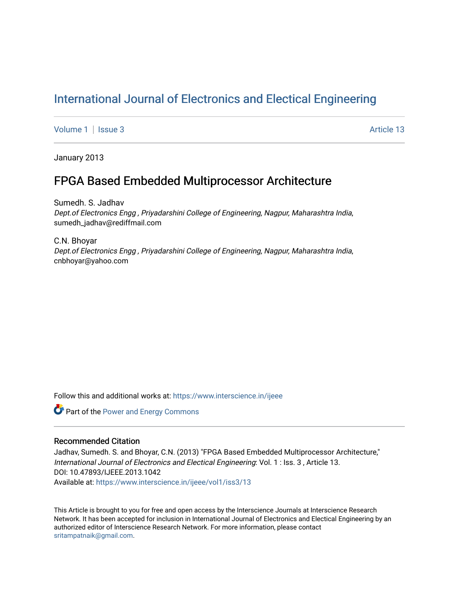# [International Journal of Electronics and Electical Engineering](https://www.interscience.in/ijeee)

[Volume 1](https://www.interscience.in/ijeee/vol1) | [Issue 3](https://www.interscience.in/ijeee/vol1/iss3) Article 13

January 2013

## FPGA Based Embedded Multiprocessor Architecture

Sumedh. S. Jadhav Dept.of Electronics Engg , Priyadarshini College of Engineering, Nagpur, Maharashtra India, sumedh\_jadhav@rediffmail.com

C.N. Bhoyar Dept.of Electronics Engg , Priyadarshini College of Engineering, Nagpur, Maharashtra India, cnbhoyar@yahoo.com

Follow this and additional works at: [https://www.interscience.in/ijeee](https://www.interscience.in/ijeee?utm_source=www.interscience.in%2Fijeee%2Fvol1%2Fiss3%2F13&utm_medium=PDF&utm_campaign=PDFCoverPages)

**Part of the Power and Energy Commons** 

## Recommended Citation

Jadhav, Sumedh. S. and Bhoyar, C.N. (2013) "FPGA Based Embedded Multiprocessor Architecture," International Journal of Electronics and Electical Engineering: Vol. 1 : Iss. 3 , Article 13. DOI: 10.47893/IJEEE.2013.1042 Available at: [https://www.interscience.in/ijeee/vol1/iss3/13](https://www.interscience.in/ijeee/vol1/iss3/13?utm_source=www.interscience.in%2Fijeee%2Fvol1%2Fiss3%2F13&utm_medium=PDF&utm_campaign=PDFCoverPages)

This Article is brought to you for free and open access by the Interscience Journals at Interscience Research Network. It has been accepted for inclusion in International Journal of Electronics and Electical Engineering by an authorized editor of Interscience Research Network. For more information, please contact [sritampatnaik@gmail.com](mailto:sritampatnaik@gmail.com).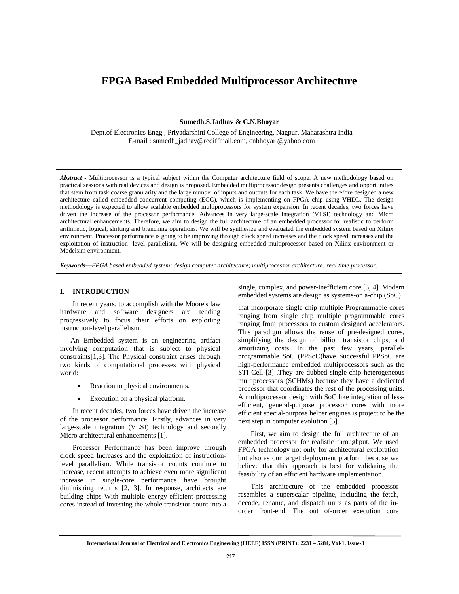## **FPGA Based Embedded Multiprocessor Architecture**

**Sumedh.S.Jadhav & C.N.Bhoyar** 

Dept.of Electronics Engg , Priyadarshini College of Engineering, Nagpur, Maharashtra India E-mail : sumedh\_jadhav@rediffmail.com, cnbhoyar @yahoo.com

*Abstract* **-** Multiprocessor is a typical subject within the Computer architecture field of scope. A new methodology based on practical sessions with real devices and design is proposed. Embedded multiprocessor design presents challenges and opportunities that stem from task coarse granularity and the large number of inputs and outputs for each task. We have therefore designed a new architecture called embedded concurrent computing (ECC), which is implementing on FPGA chip using VHDL. The design methodology is expected to allow scalable embedded multiprocessors for system expansion. In recent decades, two forces have driven the increase of the processor performance: Advances in very large-scale integration (VLSI) technology and Micro architectural enhancements. Therefore, we aim to design the full architecture of an embedded processor for realistic to perform arithmetic, logical, shifting and branching operations. We will be synthesize and evaluated the embedded system based on Xilinx environment. Processor performance is going to be improving through clock speed increases and the clock speed increases and the exploitation of instruction- level parallelism. We will be designing embedded multiprocessor based on Xilinx environment or Modelsim environment.

*Keywords—FPGA based embedded system; design computer architecture; multiprocessor architecture; real time processor.*

#### **I. INTRODUCTION**

 In recent years, to accomplish with the Moore's law hardware and software designers are tending progressively to focus their efforts on exploiting instruction-level parallelism.

 An Embedded system is an engineering artifact involving computation that is subject to physical constraints[1,3]. The Physical constraint arises through two kinds of computational processes with physical world:

- Reaction to physical environments.
- Execution on a physical platform.

 In recent decades, two forces have driven the increase of the processor performance: Firstly, advances in very large-scale integration (VLSI) technology and secondly Micro architectural enhancements [1].

 Processor Performance has been improve through clock speed Increases and the exploitation of instructionlevel parallelism. While transistor counts continue to increase, recent attempts to achieve even more significant increase in single-core performance have brought diminishing returns [2, 3]. In response, architects are building chips With multiple energy-efficient processing cores instead of investing the whole transistor count into a

single, complex, and power-inefficient core [3, 4]. Modern embedded systems are design as systems-on a-chip (SoC)

that incorporate single chip multiple Programmable cores ranging from single chip multiple programmable cores ranging from processors to custom designed accelerators. This paradigm allows the reuse of pre-designed cores, simplifying the design of billion transistor chips, and amortizing costs. In the past few years, parallelprogrammable SoC (PPSoC)have Successful PPSoC are high-performance embedded multiprocessors such as the STI Cell [3] .They are dubbed single-chip heterogeneous multiprocessors (SCHMs) because they have a dedicated processor that coordinates the rest of the processing units. A multiprocessor design with SoC like integration of lessefficient, general-purpose processor cores with more efficient special-purpose helper engines is project to be the next step in computer evolution [5].

 First, we aim to design the full architecture of an embedded processor for realistic throughput. We used FPGA technology not only for architectural exploration but also as our target deployment platform because we believe that this approach is best for validating the feasibility of an efficient hardware implementation.

 This architecture of the embedded processor resembles a superscalar pipeline, including the fetch, decode, rename, and dispatch units as parts of the inorder front-end. The out of-order execution core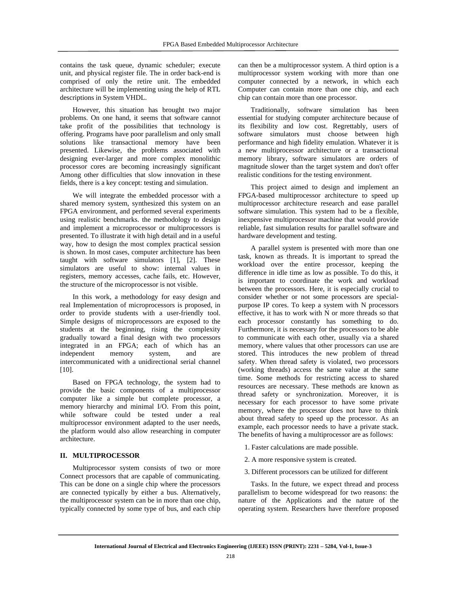contains the task queue, dynamic scheduler; execute unit, and physical register file. The in order back-end is comprised of only the retire unit. The embedded architecture will be implementing using the help of RTL descriptions in System VHDL.

However, this situation has brought two major problems. On one hand, it seems that software cannot take profit of the possibilities that technology is offering. Programs have poor parallelism and only small solutions like transactional memory have been presented. Likewise, the problems associated with designing ever-larger and more complex monolithic processor cores are becoming increasingly significant Among other difficulties that slow innovation in these fields, there is a key concept: testing and simulation.

 We will integrate the embedded processor with a shared memory system, synthesized this system on an FPGA environment, and performed several experiments using realistic benchmarks. the methodology to design and implement a microprocessor or multiprocessors is presented. To illustrate it with high detail and in a useful way, how to design the most complex practical session is shown. In most cases, computer architecture has been taught with software simulators [1], [2]. These simulators are useful to show: internal values in registers, memory accesses, cache fails, etc. However, the structure of the microprocessor is not visible.

 In this work, a methodology for easy design and real Implementation of microprocessors is proposed, in order to provide students with a user-friendly tool. Simple designs of microprocessors are exposed to the students at the beginning, rising the complexity gradually toward a final design with two processors integrated in an FPGA; each of which has an independent memory system, and are intercommunicated with a unidirectional serial channel [10].

 Based on FPGA technology, the system had to provide the basic components of a multiprocessor computer like a simple but complete processor, a memory hierarchy and minimal I/O. From this point, while software could be tested under a real multiprocessor environment adapted to the user needs, the platform would also allow researching in computer architecture.

#### **II. MULTIPROCESSOR**

 Multiprocessor system consists of two or more Connect processors that are capable of communicating. This can be done on a single chip where the processors are connected typically by either a bus. Alternatively, the multiprocessor system can be in more than one chip, typically connected by some type of bus, and each chip can then be a multiprocessor system. A third option is a multiprocessor system working with more than one computer connected by a network, in which each Computer can contain more than one chip, and each chip can contain more than one processor.

 Traditionally, software simulation has been essential for studying computer architecture because of its flexibility and low cost. Regrettably, users of software simulators must choose between high performance and high fidelity emulation. Whatever it is a new multiprocessor architecture or a transactional memory library, software simulators are orders of magnitude slower than the target system and don't offer realistic conditions for the testing environment.

 This project aimed to design and implement an FPGA-based multiprocessor architecture to speed up multiprocessor architecture research and ease parallel software simulation. This system had to be a flexible, inexpensive multiprocessor machine that would provide reliable, fast simulation results for parallel software and hardware development and testing.

 A parallel system is presented with more than one task, known as threads. It is important to spread the workload over the entire processor, keeping the difference in idle time as low as possible. To do this, it is important to coordinate the work and workload between the processors. Here, it is especially crucial to consider whether or not some processors are specialpurpose IP cores. To keep a system with N processors effective, it has to work with N or more threads so that each processor constantly has something to do. Furthermore, it is necessary for the processors to be able to communicate with each other, usually via a shared memory, where values that other processors can use are stored. This introduces the new problem of thread safety. When thread safety is violated, two processors (working threads) access the same value at the same time. Some methods for restricting access to shared resources are necessary. These methods are known as thread safety or synchronization. Moreover, it is necessary for each processor to have some private memory, where the processor does not have to think about thread safety to speed up the processor. As an example, each processor needs to have a private stack. The benefits of having a multiprocessor are as follows:

- 1. Faster calculations are made possible.
- 2. A more responsive system is created.
- 3. Different processors can be utilized for different

 Tasks. In the future, we expect thread and process parallelism to become widespread for two reasons: the nature of the Applications and the nature of the operating system. Researchers have therefore proposed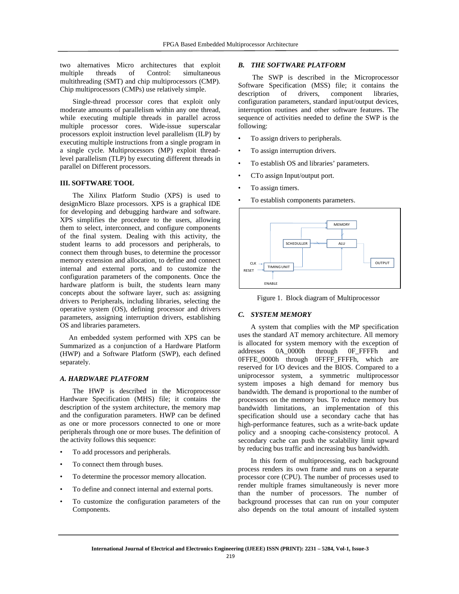two alternatives Micro architectures that exploit multiple threads of Control: simultaneous multithreading (SMT) and chip multiprocessors (CMP). Chip multiprocessors (CMPs) use relatively simple.

 Single-thread processor cores that exploit only moderate amounts of parallelism within any one thread, while executing multiple threads in parallel across multiple processor cores. Wide-issue superscalar processors exploit instruction level parallelism (ILP) by executing multiple instructions from a single program in a single cycle. Multiprocessors (MP) exploit threadlevel parallelism (TLP) by executing different threads in parallel on Different processors.

### **III. SOFTWARE TOOL**

 The Xilinx Platform Studio (XPS) is used to designMicro Blaze processors. XPS is a graphical IDE for developing and debugging hardware and software. XPS simplifies the procedure to the users, allowing them to select, interconnect, and configure components of the final system. Dealing with this activity, the student learns to add processors and peripherals, to connect them through buses, to determine the processor memory extension and allocation, to define and connect internal and external ports, and to customize the configuration parameters of the components. Once the hardware platform is built, the students learn many concepts about the software layer, such as: assigning drivers to Peripherals, including libraries, selecting the operative system (OS), defining processor and drivers parameters, assigning interruption drivers, establishing OS and libraries parameters.

 An embedded system performed with XPS can be Summarized as a conjunction of a Hardware Platform (HWP) and a Software Platform (SWP), each defined separately.

## *A. HARDWARE PLATFORM*

 The HWP is described in the Microprocessor Hardware Specification (MHS) file; it contains the description of the system architecture, the memory map and the configuration parameters. HWP can be defined as one or more processors connected to one or more peripherals through one or more buses. The definition of the activity follows this sequence:

- To add processors and peripherals.
- To connect them through buses.
- To determine the processor memory allocation.
- To define and connect internal and external ports.
- To customize the configuration parameters of the Components.

#### *B. THE SOFTWARE PLATFORM*

 The SWP is described in the Microprocessor Software Specification (MSS) file; it contains the description of drivers, component libraries, configuration parameters, standard input/output devices, interruption routines and other software features. The sequence of activities needed to define the SWP is the following:

- To assign drivers to peripherals.
- To assign interruption drivers.
- To establish OS and libraries' parameters.
- CTo assign Input/output port.
- To assign timers.
- To establish components parameters.



Figure 1. Block diagram of Multiprocessor

#### *C. SYSTEM MEMORY*

 A system that complies with the MP specification uses the standard AT memory architecture. All memory is allocated for system memory with the exception of addresses 0A\_0000h through 0F\_FFFFh and 0FFFE\_0000h through 0FFFF\_FFFFh, which are reserved for I/O devices and the BIOS. Compared to a uniprocessor system, a symmetric multiprocessor system imposes a high demand for memory bus bandwidth. The demand is proportional to the number of processors on the memory bus. To reduce memory bus bandwidth limitations, an implementation of this specification should use a secondary cache that has high-performance features, such as a write-back update policy and a snooping cache-consistency protocol. A secondary cache can push the scalability limit upward by reducing bus traffic and increasing bus bandwidth.

 In this form of multiprocessing, each background process renders its own frame and runs on a separate processor core (CPU). The number of processes used to render multiple frames simultaneously is never more than the number of processors. The number of background processes that can run on your computer also depends on the total amount of installed system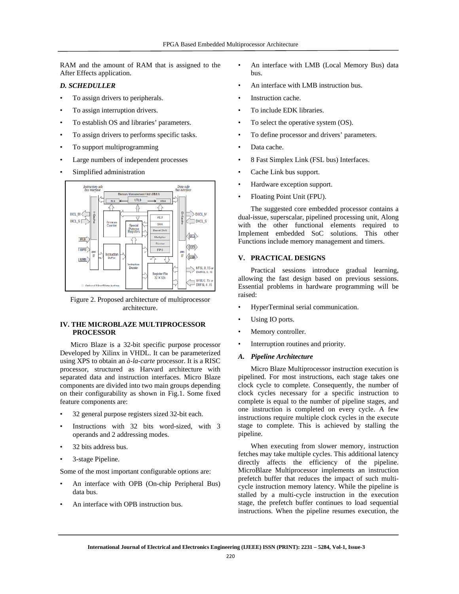RAM and the amount of RAM that is assigned to the After Effects application.

## *D. SCHEDULLER*

- To assign drivers to peripherals.
- To assign interruption drivers.
- To establish OS and libraries' parameters.
- To assign drivers to performs specific tasks.
- To support multiprogramming
- Large numbers of independent processes
- Simplified administration



Figure 2. Proposed architecture of multiprocessor architecture.

## **IV. THE MICROBLAZE MULTIPROCESSOR PROCESSOR**

 Micro Blaze is a 32-bit specific purpose processor Developed by Xilinx in VHDL. It can be parameterized using XPS to obtain an *à-la-carte* processor. It is a RISC processor, structured as Harvard architecture with separated data and instruction interfaces. Micro Blaze components are divided into two main groups depending on their configurability as shown in Fig.1. Some fixed feature components are:

- 32 general purpose registers sized 32-bit each.
- Instructions with 32 bits word-sized, with 3 operands and 2 addressing modes.
- 32 bits address bus.
- 3-stage Pipeline.

Some of the most important configurable options are:

- An interface with OPB (On-chip Peripheral Bus) data bus.
- An interface with OPB instruction bus.
- An interface with LMB (Local Memory Bus) data bus.
- An interface with LMB instruction bus.
- Instruction cache.
- To include EDK libraries.
- To select the operative system (OS).
- To define processor and drivers' parameters.
- Data cache.
- 8 Fast Simplex Link (FSL bus) Interfaces.
- Cache Link bus support.
- Hardware exception support.
- Floating Point Unit (FPU).

 The suggested core embedded processor contains a dual-issue, superscalar, pipelined processing unit, Along with the other functional elements required to Implement embedded SoC solutions. This other Functions include memory management and timers.

## **V. PRACTICAL DESIGNS**

 Practical sessions introduce gradual learning, allowing the fast design based on previous sessions. Essential problems in hardware programming will be raised:

- HyperTerminal serial communication.
- Using IO ports.
- Memory controller.
- Interruption routines and priority.
- *A. Pipeline Architecture*

 Micro Blaze Multiprocessor instruction execution is pipelined. For most instructions, each stage takes one clock cycle to complete. Consequently, the number of clock cycles necessary for a specific instruction to complete is equal to the number of pipeline stages, and one instruction is completed on every cycle. A few instructions require multiple clock cycles in the execute stage to complete. This is achieved by stalling the pipeline.

 When executing from slower memory, instruction fetches may take multiple cycles. This additional latency directly affects the efficiency of the pipeline. MicroBlaze Multiprocessor implements an instruction prefetch buffer that reduces the impact of such multicycle instruction memory latency. While the pipeline is stalled by a multi-cycle instruction in the execution stage, the prefetch buffer continues to load sequential instructions. When the pipeline resumes execution, the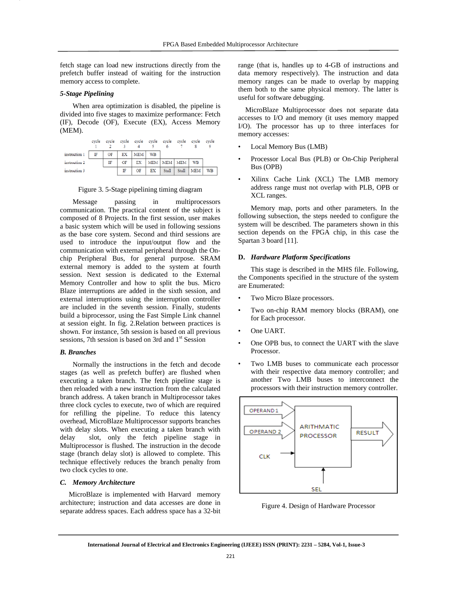fetch stage can load new instructions directly from the prefetch buffer instead of waiting for the instruction memory access to complete.

### *5-Stage Pipelining*

 When area optimization is disabled, the pipeline is divided into five stages to maximize performance: Fetch (IF), Decode (OF), Execute (EX), Access Memory (MEM).

|               | cycle | cycle |    | cycle cycle cycle cycle cycle |           | 6               |       | evele      | cycle     |
|---------------|-------|-------|----|-------------------------------|-----------|-----------------|-------|------------|-----------|
| instruction 1 | IF    | OF    | EX | MEM <sup>1</sup>              | <b>WB</b> |                 |       |            |           |
| instruction 2 |       | IF    | OF | EX                            |           | MEM   MEM   MEM |       | <b>WB</b>  |           |
| instruction 3 |       |       | IF | OF                            | EX        | Stall           | Stall | <b>MEM</b> | <b>WB</b> |

Figure 3. 5-Stage pipelining timing diagram

 Message passing in multiprocessors communication. The practical content of the subject is composed of 8 Projects. In the first session, user makes a basic system which will be used in following sessions as the base core system. Second and third sessions are used to introduce the input/output flow and the communication with external peripheral through the Onchip Peripheral Bus, for general purpose. SRAM external memory is added to the system at fourth session. Next session is dedicated to the External Memory Controller and how to split the bus. Micro Blaze interruptions are added in the sixth session, and external interruptions using the interruption controller are included in the seventh session. Finally, students build a biprocessor, using the Fast Simple Link channel at session eight. In fig. 2.Relation between practices is shown. For instance, 5th session is based on all previous sessions, 7th session is based on 3rd and  $1<sup>st</sup>$  Session

#### *B. Branches*

 Normally the instructions in the fetch and decode stages (as well as prefetch buffer) are flushed when executing a taken branch. The fetch pipeline stage is then reloaded with a new instruction from the calculated branch address. A taken branch in Multiprocessor takes three clock cycles to execute, two of which are required for refilling the pipeline. To reduce this latency overhead, MicroBlaze Multiprocessor supports branches with delay slots. When executing a taken branch with delay slot, only the fetch pipeline stage in Multiprocessor is flushed. The instruction in the decode stage (branch delay slot) is allowed to complete. This technique effectively reduces the branch penalty from two clock cycles to one.

#### *C. Memory Architecture*

 MicroBlaze is implemented with Harvard memory architecture; instruction and data accesses are done in separate address spaces. Each address space has a 32-bit range (that is, handles up to 4-GB of instructions and data memory respectively). The instruction and data memory ranges can be made to overlap by mapping them both to the same physical memory. The latter is useful for software debugging.

 MicroBlaze Multiprocessor does not separate data accesses to I/O and memory (it uses memory mapped I/O). The processor has up to three interfaces for memory accesses:

- Local Memory Bus (LMB)
- Processor Local Bus (PLB) or On-Chip Peripheral Bus (OPB)
- Xilinx Cache Link (XCL) The LMB memory address range must not overlap with PLB, OPB or XCL ranges.

 Memory map, ports and other parameters. In the following subsection, the steps needed to configure the system will be described. The parameters shown in this section depends on the FPGA chip, in this case the Spartan 3 board [11].

#### **D.** *Hardware Platform Specifications*

 This stage is described in the MHS file. Following, the Components specified in the structure of the system are Enumerated:

- Two Micro Blaze processors.
- Two on-chip RAM memory blocks (BRAM), one for Each processor.
- One UART.
- One OPB bus, to connect the UART with the slave Processor.
- Two LMB buses to communicate each processor with their respective data memory controller; and another Two LMB buses to interconnect the processors with their instruction memory controller.



Figure 4. Design of Hardware Processor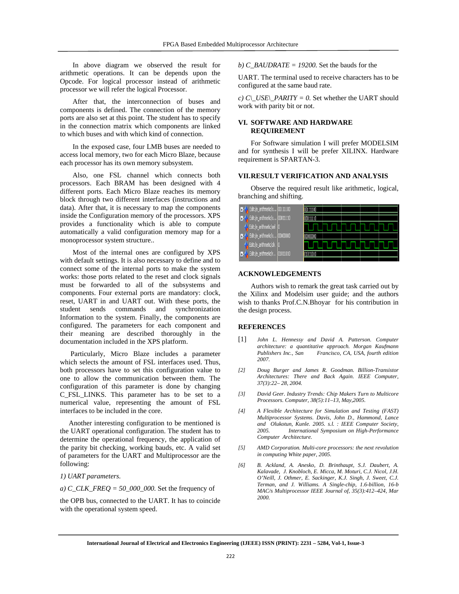In above diagram we observed the result for arithmetic operations. It can be depends upon the Opcode. For logical processor instead of arithmetic processor we will refer the logical Processor.

 After that, the interconnection of buses and components is defined. The connection of the memory ports are also set at this point. The student has to specify in the connection matrix which components are linked to which buses and with which kind of connection.

 In the exposed case, four LMB buses are needed to access local memory, two for each Micro Blaze, because each processor has its own memory subsystem.

 Also, one FSL channel which connects both processors. Each BRAM has been designed with 4 different ports. Each Micro Blaze reaches its memory block through two different interfaces (instructions and data). After that, it is necessary to map the components inside the Configuration memory of the processors. XPS provides a functionality which is able to compute automatically a valid configuration memory map for a monoprocessor system structure..

 Most of the internal ones are configured by XPS with default settings. It is also necessary to define and to connect some of the internal ports to make the system works: those ports related to the reset and clock signals must be forwarded to all of the subsystems and components. Four external ports are mandatory: clock, reset, UART in and UART out. With these ports, the student sends commands and synchronization Information to the system. Finally, the components are configured. The parameters for each component and their meaning are described thoroughly in the documentation included in the XPS platform.

 Particularly, Micro Blaze includes a parameter which selects the amount of FSL interfaces used. Thus, both processors have to set this configuration value to one to allow the communication between them. The configuration of this parameter is done by changing C\_FSL\_LINKS. This parameter has to be set to a numerical value, representing the amount of FSL interfaces to be included in the core.

 Another interesting configuration to be mentioned is the UART operational configuration. The student has to determine the operational frequency, the application of the parity bit checking, working bauds, etc. A valid set of parameters for the UART and Multiprocessor are the following:

#### *1) UART parameters.*

*a) C\_CLK\_FREQ = 50\_000\_000.* Set the frequency of

the OPB bus, connected to the UART. It has to coincide with the operational system speed.

*b) C\_BAUDRATE = 19200.* Set the bauds for the

UART. The terminal used to receive characters has to be configured at the same baud rate.

*c)*  $C\_{USE}\_\text{PARITY} = 0$ . Set whether the UART should work with parity bit or not.

#### **VI. SOFTWARE AND HARDWARE REQUIREMENT**

 For Software simulation I will prefer MODELSIM and for synthesis I will be prefer XILINX. Hardware requirement is SPARTAN-3.

#### **VII. RESULT VERIFICATION AND ANALYSIS**

 Observe the required result like arithmetic, logical, branching and shifting.



#### **ACKNOWLEDGEMENTS**

 Authors wish to remark the great task carried out by the Xilinx and Modelsim user guide; and the authors wish to thanks Prof.C.N.Bhoyar for his contribution in the design process.

#### **REFERENCES**

- [1] *John L. Hennessy and David A. Patterson. Computer architecture: a quantitative approach. Morgan Kaufmann Publishers Inc., San Francisco, CA, USA, fourth edition 2007.*
- *[2] Doug Burger and James R. Goodman. Billion-Transistor Architectures: There and Back Again. IEEE Computer, 37(3):22– 28, 2004.*
- *[3] David Geer. Industry Trends: Chip Makers Turn to Multicore Processors. Computer, 38(5):11–13, May,2005.*
- *[4] A Flexible Architecture for Simulation and Testing (FAST) Multiprocessor Systems. Davis, John D., Hammond, Lance and Olukotun, Kunle. 2005. s.l. : IEEE Computer Society, 2005. International Symposium on High-Performance Computer Architecture.*
- *[5] AMD Corporation. Multi-core processors: the next revolution in computing White paper, 2005.*
- *[6] B. Ackland, A. Anesko, D. Brinthaupt, S.J. Daubert, A. Kalavade, J. Knobloch, E. Micca, M. Moturi, C.J. Nicol, J.H. O'Neill, J. Othmer, E. Sackinger, K.J. Singh, J. Sweet, C.J. Terman, and J. Williams. A Single-chip, 1.6-billion, 16-b MAC/s Multiprocessor IEEE Journal of, 35(3):412–424, Mar 2000.*